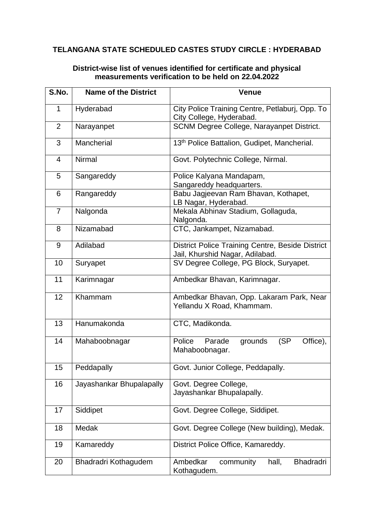## **TELANGANA STATE SCHEDULED CASTES STUDY CIRCLE : HYDERABAD**

## **District-wise list of venues identified for certificate and physical measurements verification to be held on 22.04.2022**

| S.No.          | <b>Name of the District</b> | <b>Venue</b>                                                                        |
|----------------|-----------------------------|-------------------------------------------------------------------------------------|
| 1              | Hyderabad                   | City Police Training Centre, Petlaburj, Opp. To<br>City College, Hyderabad.         |
| $\overline{2}$ | Narayanpet                  | SCNM Degree College, Narayanpet District.                                           |
| 3              | Mancherial                  | 13th Police Battalion, Gudipet, Mancherial.                                         |
| $\overline{4}$ | Nirmal                      | Govt. Polytechnic College, Nirmal.                                                  |
| 5              | Sangareddy                  | Police Kalyana Mandapam,<br>Sangareddy headquarters.                                |
| 6              | Rangareddy                  | Babu Jagjeevan Ram Bhavan, Kothapet,<br>LB Nagar, Hyderabad.                        |
| $\overline{7}$ | Nalgonda                    | Mekala Abhinav Stadium, Gollaguda,<br>Nalgonda.                                     |
| 8              | Nizamabad                   | CTC, Jankampet, Nizamabad.                                                          |
| 9              | Adilabad                    | District Police Training Centre, Beside District<br>Jail, Khurshid Nagar, Adilabad. |
| 10             | Suryapet                    | SV Degree College, PG Block, Suryapet.                                              |
| 11             | Karimnagar                  | Ambedkar Bhavan, Karimnagar.                                                        |
| 12             | Khammam                     | Ambedkar Bhavan, Opp. Lakaram Park, Near<br>Yellandu X Road, Khammam.               |
| 13             | Hanumakonda                 | CTC, Madikonda.                                                                     |
| 14             | Mahaboobnagar               | (SP)<br>Parade<br>grounds<br>Office),<br>Police<br>Mahaboobnagar.                   |
| 15             | Peddapally                  | Govt. Junior College, Peddapally.                                                   |
| 16             | Jayashankar Bhupalapally    | Govt. Degree College,<br>Jayashankar Bhupalapally.                                  |
| 17             | Siddipet                    | Govt. Degree College, Siddipet.                                                     |
| 18             | Medak                       | Govt. Degree College (New building), Medak.                                         |
| 19             | Kamareddy                   | District Police Office, Kamareddy.                                                  |
| 20             | Bhadradri Kothagudem        | <b>Bhadradri</b><br>Ambedkar<br>hall,<br>community<br>Kothagudem.                   |